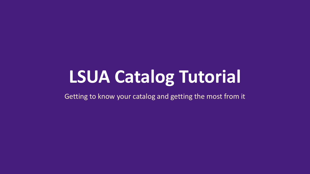# **LSUA Catalog Tutorial**

Getting to know your catalog and getting the most from it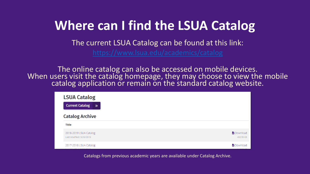#### **Where can I find the LSUA Catalog**

The current LSUA Catalog can be found at this link:

The online catalog can also be accessed on mobile devices. When users visit the catalog homepage, they may choose to view the mobile catalog application or remain on the standard catalog website.

| <b>LSUA Catalog</b><br><b>Current Catalog</b><br>$\rightarrow$ |                             |
|----------------------------------------------------------------|-----------------------------|
| <b>Catalog Archive</b>                                         |                             |
| <b>Title</b>                                                   |                             |
| 2018-2019 LSUA Catalog<br>Last Modified: 3/29/2019             | <b>Download</b><br>40078 KB |
| 2017-2018 LSUA Catalog                                         | <b>b</b> Download           |

Catalogs from previous academic years are available under Catalog Archive.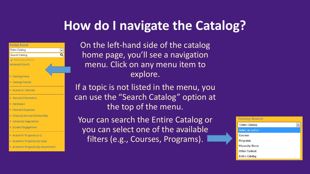#### **How do I navigate the Catalog?**

| <b>Catalog Search</b>      |  |
|----------------------------|--|
|                            |  |
| Entire Catalog             |  |
| Search Catalog             |  |
| <b>V</b> Whole Word/Phrase |  |
| <b>Advanced Search</b>     |  |
| <b>Catalog Home</b>        |  |
| <b>Catalog Tutorial</b>    |  |

 $\boxed{\blacksquare}$  $\overline{\mathbf{a}}$ 

- Academic Calendar
- **General Information**
- Admission
- Fees and Expenses
- Financial Aid and Scholarships
- **University Regulations**
- Student Engagement
- Academic Programs (a-z)
- Academic Programs (by type)
- Academic Programs (by department)

On the left-hand side of the catalog home page, you'll see a navigation menu. Click on any menu item to explore.

If a topic is not listed in the menu, you can use the "Search Catalog" option at the top of the menu.

Your can search the Entire Catalog or you can select one of the available filters (e.g., Courses, Programs).

| <b>Catalog Search</b>  |  |
|------------------------|--|
| <b>Entire Catalog</b>  |  |
| Select an option       |  |
| Courses                |  |
| Programs               |  |
| <b>Hierarchy Items</b> |  |
| <b>Other Content</b>   |  |
| <b>Entire Catalog</b>  |  |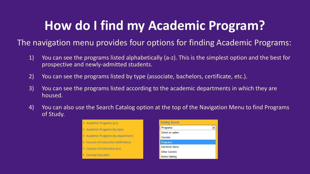### **How do I find my Academic Program?**

#### The navigation menu provides four options for finding Academic Programs:

- 1) You can see the programs listed alphabetically (a-z). This is the simplest option and the best for prospective and newly-admitted students.
- 2) You can see the programs listed by type (associate, bachelors, certificate, etc.).
- 3) You can see the programs listed according to the academic departments in which they are housed.
- 4) You can also use the Search Catalog option at the top of the Navigation Menu to find Programs of Study.



| <b>Catalog Search</b>  |  |
|------------------------|--|
| Programs               |  |
| Select an option       |  |
| Courses                |  |
| Programs               |  |
| <b>Hierarchy Items</b> |  |
| <b>Other Content</b>   |  |
| <b>Entire Catalog</b>  |  |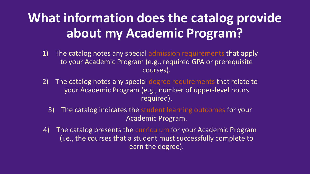### **What information does the catalog provide about my Academic Program?**

- 1) The catalog notes any special admission requirements that apply to your Academic Program (e.g., required GPA or prerequisite courses).
- 2) The catalog notes any special degree requirements that relate to your Academic Program (e.g., number of upper-level hours required).
	- 3) The catalog indicates the student learning outcomes for your Academic Program.
- 4) The catalog presents the curriculum for your Academic Program (i.e., the courses that a student must successfully complete to earn the degree).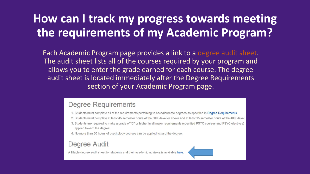#### How can I track my progress towards meeting the requirements of my Academic Program?

Each Academic Program page provides a link to a degree audit sheet. The audit sheet lists all of the courses required by your program and allows you to enter the grade earned for each course. The degree audit sheet is located immediately after the Degree Requirements section of your Academic Program page.

#### **Degree Requirements**

- 1. Students must complete all of the requirements pertaining to baccalaureate degrees as specified in Degree Requirements.
- 2. Students must complete at least 45 semester hours at the 3000-level or above and at least 15 semester hours at the 4000-level.
- 3. Students are required to make a grade of "C" or higher in all major requirements (specified PSYC courses and PSYC electives) applied toward the degree.
- 4. No more than 60 hours of psychology courses can be applied toward the degree.

#### Degree Audit

A fillable degree audit sheet for students and their academic advisors is available here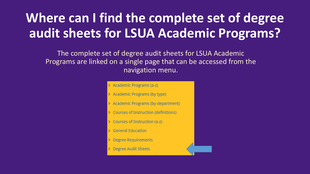## Where can I find the complete set of degree audit sheets for LSUA Academic Programs?

The complete set of degree audit sheets for LSUA Academic Programs are linked on a single page that can be accessed from the navigation menu.

#### Academic Programs (a-z)

- **Academic Programs (by type)**
- > Academic Programs (by department)
- > Courses of Instruction (definitions)
- Courses of Instruction (a-z)
- **General Education**
- **Degree Requirements**
- **Degree Audit Sheets**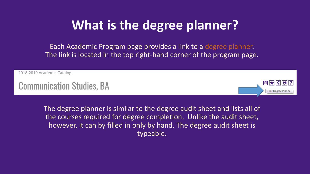### **What is the degree planner?**

Each Academic Program page provides a link to a degree planner. The link is located in the top right-hand corner of the program page.

2018-2019 Academic Catalog

**Communication Studies, BA** 



The degree planner is similar to the degree audit sheet and lists all of the courses required for degree completion. Unlike the audit sheet, however, it can by filled in only by hand. The degree audit sheet is typeable.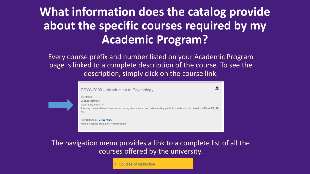#### **What information does the catalog provide about the specific courses required by my Academic Program?**

Every course prefix and number listed on your Academic Program page is linked to a complete description of the course. To see the description, simply click on the course link.



The navigation menu provides a link to a complete list of all the courses offered by the university.

**Courses of Instruction**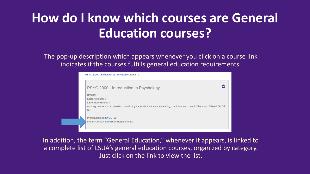### **How do I know which courses are General Education courses?**

The pop-up description which appears whenever you click on a course link indicates if the courses fulfills general education requirements.

| PSYC 2000 - Introduction to Psychology                                                                                              |
|-------------------------------------------------------------------------------------------------------------------------------------|
| Credits: 3                                                                                                                          |
| <b>Lecture Hours: 3</b>                                                                                                             |
| <b>Laboratory Hours: 0</b>                                                                                                          |
| A survey course with emphasis on introducing the student to the understanding, prediction, and control of behavior. Offered FA, SP, |
| SU.                                                                                                                                 |
| Prerequisite(s): ENGL 1001.                                                                                                         |
| <b>Fulfills General Education Requirements.</b>                                                                                     |

In addition, the term "General Education," whenever it appears, is linked to a complete list of LSUA's general education courses, organized by category. Just click on the link to view the list.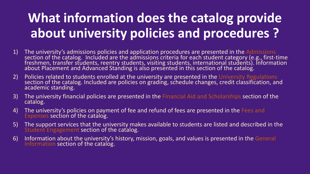## **What information does the catalog provide about university policies and procedures ?**

- 1) The university's admissions policies and application procedures are presented in the Admissions section of the catalog. Included are the admissions criteria for each student category (e.g., first-time freshmen, transfer students, reentry students, visiting students, international students). Information about Placement and Advanced Standing is also presented in this section of the catalog.
- 2) Policies related to students enrolled at the university are presented in the University Regulations section of the catalog. Included are policies on grading, schedule changes, credit classification, and academic standing.
- 3) The university financial policies are presented in the Financial Aid and Scholarships section of the catalog.
- 4) The university's policies on payment of fee and refund of fees are presented in the Fees and Expenses section of the catalog.
- 5) The support services that the university makes available to students are listed and described in the Student Engagement section of the catalog.
- 6) Information about the university's history, mission, goals, and values is presented in the General Information section of the catalog.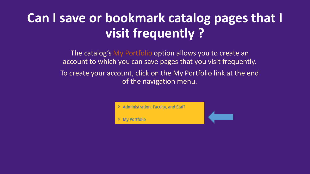#### **Can I save or bookmark catalog pages that I visit frequently ?**

The catalog's My Portfolio option allows you to create an account to which you can save pages that you visit frequently.

To create your account, click on the My Portfolio link at the end of the navigation menu.